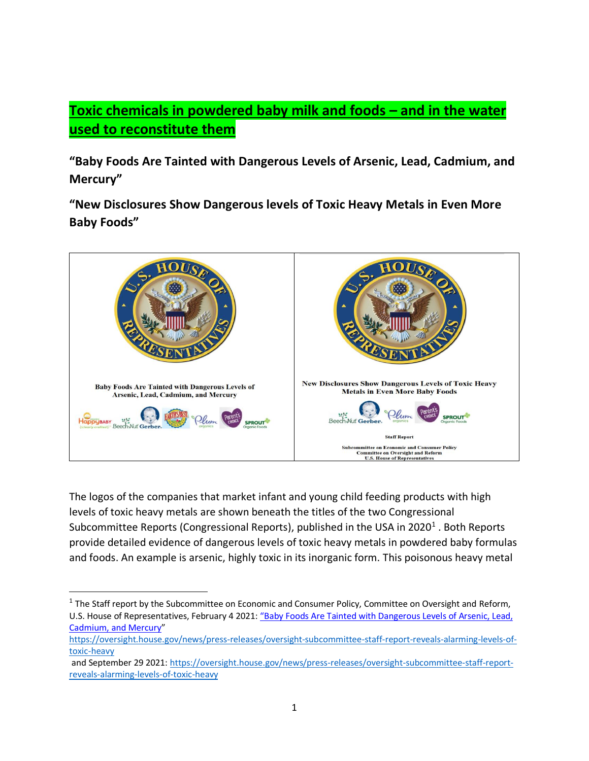# **Toxic chemicals in powdered baby milk and foods – and in the water used to reconstitute them**

**"Baby Foods Are Tainted with Dangerous Levels of Arsenic, Lead, Cadmium, and Mercury"**

**"New Disclosures Show Dangerous levels of Toxic Heavy Metals in Even More Baby Foods"**



The logos of the companies that market infant and young child feeding products with high levels of toxic heavy metals are shown beneath the titles of the two Congressional Subcommittee Reports (Congressional Reports), published in the USA in 2020<sup>1</sup>. Both Reports provide detailed evidence of dangerous levels of toxic heavy metals in powdered baby formulas and foods. An example is arsenic, highly toxic in its inorganic form. This poisonous heavy metal

<sup>&</sup>lt;sup>1</sup> The Staff report by the Subcommittee on Economic and Consumer Policy, Committee on Oversight and Reform, U.S. House of Representatives, February 4 2021: ["Baby Foods Are Tainted with Dangerous Levels of Arsenic, Lead,](about:blank)  [Cadmium, and Mercury](about:blank)"

[https://oversight.house.gov/news/press-releases/oversight-subcommittee-staff-report-reveals-alarming-levels-of](about:blank)[toxic-heavy](about:blank)

and September 29 2021[: https://oversight.house.gov/news/press-releases/oversight-subcommittee-staff-report](about:blank)[reveals-alarming-levels-of-toxic-heavy](about:blank)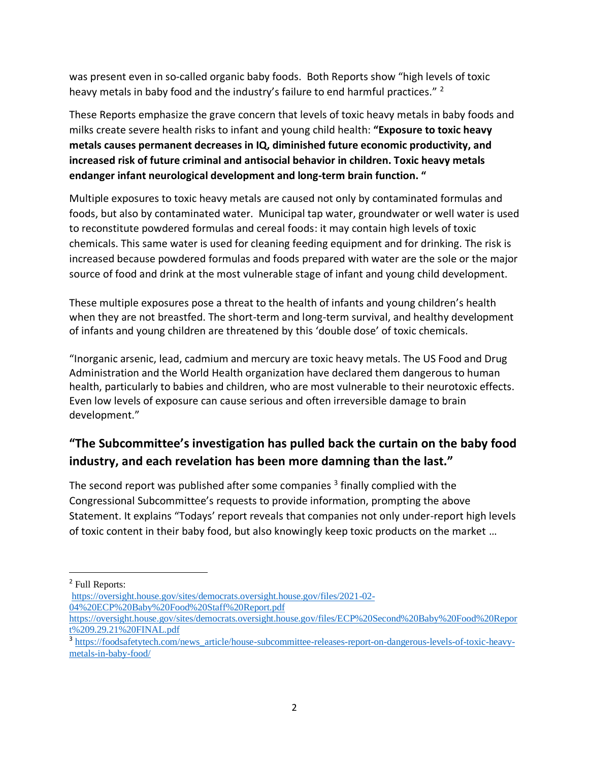was present even in so-called organic baby foods. Both Reports show "high levels of toxic heavy metals in baby food and the industry's failure to end harmful practices." <sup>2</sup>

These Reports emphasize the grave concern that levels of toxic heavy metals in baby foods and milks create severe health risks to infant and young child health: **"Exposure to toxic heavy metals causes permanent decreases in IQ, diminished future economic productivity, and increased risk of future criminal and antisocial behavior in children. Toxic heavy metals endanger infant neurological development and long-term brain function. "**

Multiple exposures to toxic heavy metals are caused not only by contaminated formulas and foods, but also by contaminated water. Municipal tap water, groundwater or well water is used to reconstitute powdered formulas and cereal foods: it may contain high levels of toxic chemicals. This same water is used for cleaning feeding equipment and for drinking. The risk is increased because powdered formulas and foods prepared with water are the sole or the major source of food and drink at the most vulnerable stage of infant and young child development.

These multiple exposures pose a threat to the health of infants and young children's health when they are not breastfed. The short-term and long-term survival, and healthy development of infants and young children are threatened by this 'double dose' of toxic chemicals.

"Inorganic arsenic, lead, cadmium and mercury are toxic heavy metals. The US Food and Drug Administration and the World Health organization have declared them dangerous to human health, particularly to babies and children, who are most vulnerable to their neurotoxic effects. Even low levels of exposure can cause serious and often irreversible damage to brain development."

## **"The Subcommittee's investigation has pulled back the curtain on the baby food industry, and each revelation has been more damning than the last."**

The second report was published after some companies  $^3$  finally complied with the Congressional Subcommittee's requests to provide information, prompting the above Statement. It explains "Todays' report reveals that companies not only under-report high levels of toxic content in their baby food, but also knowingly keep toxic products on the market …

<sup>2</sup> Full Reports:

[https://oversight.house.gov/sites/democrats.oversight.house.gov/files/2021-02-](about:blank) [04%20ECP%20Baby%20Food%20Staff%20Report.pdf](about:blank)

[https://oversight.house.gov/sites/democrats.oversight.house.gov/files/ECP%20Second%20Baby%20Food%20Repor](about:blank) [t%209.29.21%20FINAL.pdf](about:blank)

<sup>&</sup>lt;sup>3</sup> [https://foodsafetytech.com/news\\_article/house-subcommittee-releases-report-on-dangerous-levels-of-toxic-heavy](about:blank)[metals-in-baby-food/](about:blank)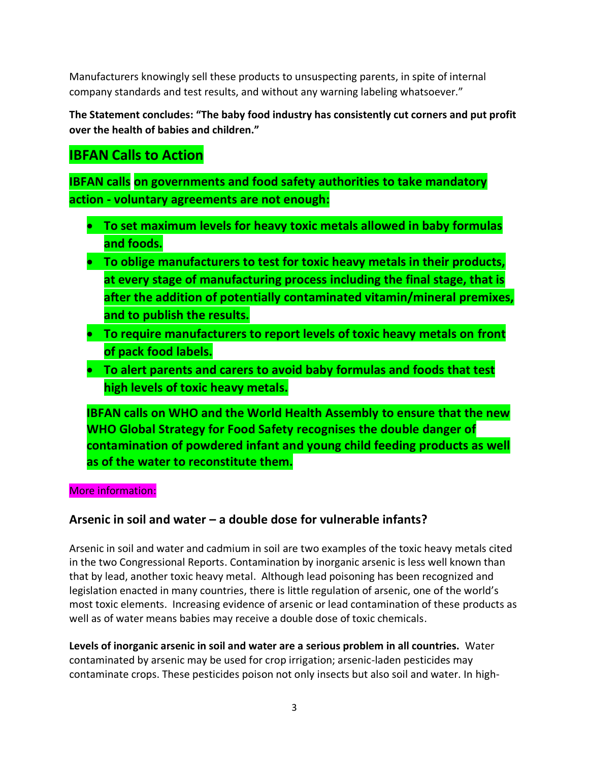Manufacturers knowingly sell these products to unsuspecting parents, in spite of internal company standards and test results, and without any warning labeling whatsoever."

**The Statement concludes: "The baby food industry has consistently cut corners and put profit over the health of babies and children."**

# **IBFAN Calls to Action**

**IBFAN calls on governments and food safety authorities to take mandatory action - voluntary agreements are not enough:** 

- **To set maximum levels for heavy toxic metals allowed in baby formulas and foods.**
- **To oblige manufacturers to test for toxic heavy metals in their products, at every stage of manufacturing process including the final stage, that is after the addition of potentially contaminated vitamin/mineral premixes, and to publish the results.**
- **To require manufacturers to report levels of toxic heavy metals on front of pack food labels.**
- **To alert parents and carers to avoid baby formulas and foods that test high levels of toxic heavy metals.**

**IBFAN calls on WHO and the World Health Assembly to ensure that the new WHO Global Strategy for Food Safety recognises the double danger of contamination of powdered infant and young child feeding products as well as of the water to reconstitute them.** 

#### More information:

### **Arsenic in soil and water – a double dose for vulnerable infants?**

Arsenic in soil and water and cadmium in soil are two examples of the toxic heavy metals cited in the two Congressional Reports. Contamination by inorganic arsenic is less well known than that by lead, another toxic heavy metal. Although lead poisoning has been recognized and legislation enacted in many countries, there is little regulation of arsenic, one of the world's most toxic elements. Increasing evidence of arsenic or lead contamination of these products as well as of water means babies may receive a double dose of toxic chemicals.

**Levels of inorganic arsenic in soil and water are a serious problem in all countries.** Water contaminated by arsenic may be used for crop irrigation; arsenic-laden pesticides may contaminate crops. These pesticides poison not only insects but also soil and water. In high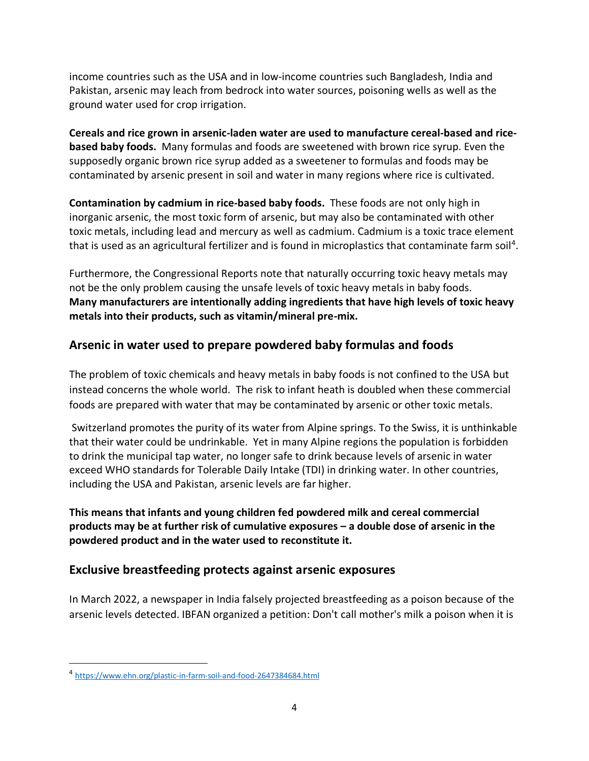income countries such as the USA and in low-income countries such Bangladesh, India and Pakistan, arsenic may leach from bedrock into water sources, poisoning wells as well as the ground water used for crop irrigation.

**Cereals and rice grown in arsenic-laden water are used to manufacture cereal-based and ricebased baby foods.** Many formulas and foods are sweetened with brown rice syrup. Even the supposedly organic brown rice syrup added as a sweetener to formulas and foods may be contaminated by arsenic present in soil and water in many regions where rice is cultivated.

**Contamination by cadmium in rice-based baby foods.** These foods are not only high in inorganic arsenic, the most toxic form of arsenic, but may also be contaminated with other toxic metals, including lead and mercury as well as cadmium. Cadmium is a toxic trace element that is used as an agricultural fertilizer and is found in microplastics that contaminate farm soil<sup>4</sup>.

Furthermore, the Congressional Reports note that naturally occurring toxic heavy metals may not be the only problem causing the unsafe levels of toxic heavy metals in baby foods. **Many manufacturers are intentionally adding ingredients that have high levels of toxic heavy metals into their products, such as vitamin/mineral pre-mix.**

### **Arsenic in water used to prepare powdered baby formulas and foods**

The problem of toxic chemicals and heavy metals in baby foods is not confined to the USA but instead concerns the whole world. The risk to infant heath is doubled when these commercial foods are prepared with water that may be contaminated by arsenic or other toxic metals.

Switzerland promotes the purity of its water from Alpine springs. To the Swiss, it is unthinkable that their water could be undrinkable. Yet in many Alpine regions the population is forbidden to drink the municipal tap water, no longer safe to drink because levels of arsenic in water exceed WHO standards for Tolerable Daily Intake (TDI) in drinking water. In other countries, including the USA and Pakistan, arsenic levels are far higher.

**This means that infants and young children fed powdered milk and cereal commercial products may be at further risk of cumulative exposures – a double dose of arsenic in the powdered product and in the water used to reconstitute it.**

#### **Exclusive breastfeeding protects against arsenic exposures**

In March 2022, a newspaper in India falsely projected breastfeeding as a poison because of the arsenic levels detected. IBFAN organized a petition: Don't call mother's milk a poison when it is

<sup>4</sup> [https://www.ehn.org/plastic-in-farm-soil-and-food-2647384684.html](about:blank)